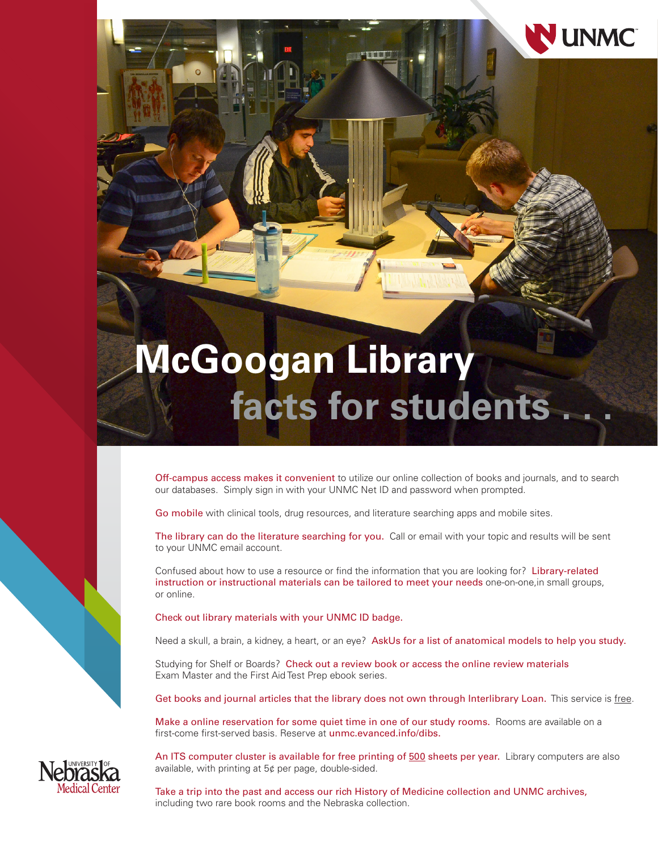

# **McGoogan Library** facts for students

Off-campus access makes it convenient to utilize our online collection of books and journals, and to search our databases. Simply sign in with your UNMC Net ID and password when prompted.

Go mobile with clinical tools, drug resources, and literature searching apps and mobile sites.

The library can do the literature searching for you. Call or email with your topic and results will be sent to your UNMC email account.

Confused about how to use a resource or find the information that you are looking for? Library-related instruction or instructional materials can be tailored to meet your needs one-on-one,in small groups, or online.

Check out library materials with your UNMC ID badge.

Need a skull, a brain, a kidney, a heart, or an eye? AskUs for a list of anatomical models to help you study.

Studying for Shelf or Boards? Check out a review book or access the online review materials Exam Master and the First Aid Test Prep ebook series.

Get books and journal articles that the library does not own through Interlibrary Loan. This service is free.

Make a online reservation for some quiet time in one of our study rooms. Rooms are available on a first-come first-served basis. Reserve at unmc.evanced.info/dibs.

An ITS computer cluster is available for free printing of 500 sheets per year. Library computers are also available, with printing at 5¢ per page, double-sided.

Take a trip into the past and access our rich History of Medicine collection and UNMC archives, including two rare book rooms and the Nebraska collection.